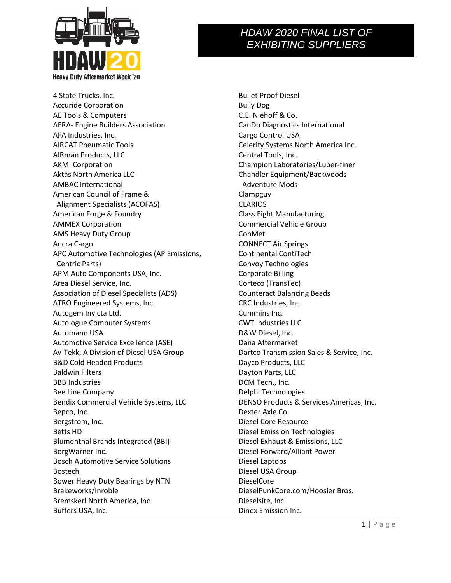

4 State Trucks, Inc. Accuride Corporation AE Tools & Computers AERA- Engine Builders Association AFA Industries, Inc. AIRCAT Pneumatic Tools AIRman Products, LLC AKMI Corporation Aktas North America LLC AMBAC International American Council of Frame & Alignment Specialists (ACOFAS) American Forge & Foundry AMMEX Corporation AMS Heavy Duty Group Ancra Cargo APC Automotive Technologies (AP Emissions, Centric Parts) APM Auto Components USA, Inc. Area Diesel Service, Inc. Association of Diesel Specialists (ADS) ATRO Engineered Systems, Inc. Autogem Invicta Ltd. Autologue Computer Systems Automann USA Automotive Service Excellence (ASE) Av-Tekk, A Division of Diesel USA Group B&D Cold Headed Products Baldwin Filters BBB Industries Bee Line Company Bendix Commercial Vehicle Systems, LLC Bepco, Inc. Bergstrom, Inc. Betts HD Blumenthal Brands Integrated (BBI) BorgWarner Inc. Bosch Automotive Service Solutions Bostech Bower Heavy Duty Bearings by NTN Brakeworks/Inroble Bremskerl North America, Inc. Buffers USA, Inc.

Bullet Proof Diesel Bully Dog C.E. Niehoff & Co. CanDo Diagnostics International Cargo Control USA Celerity Systems North America Inc. Central Tools, Inc. Champion Laboratories/Luber-finer Chandler Equipment/Backwoods Adventure Mods Clampguy CLARIOS Class Eight Manufacturing Commercial Vehicle Group ConMet CONNECT Air Springs Continental ContiTech Convoy Technologies Corporate Billing Corteco (TransTec) Counteract Balancing Beads CRC Industries, Inc. Cummins Inc. CWT Industries LLC D&W Diesel, Inc. Dana Aftermarket Dartco Transmission Sales & Service, Inc. Dayco Products, LLC Dayton Parts, LLC DCM Tech., Inc. Delphi Technologies DENSO Products & Services Americas, Inc. Dexter Axle Co Diesel Core Resource Diesel Emission Technologies Diesel Exhaust & Emissions, LLC Diesel Forward/Alliant Power Diesel Laptops Diesel USA Group DieselCore DieselPunkCore.com/Hoosier Bros. Dieselsite, Inc. Dinex Emission Inc.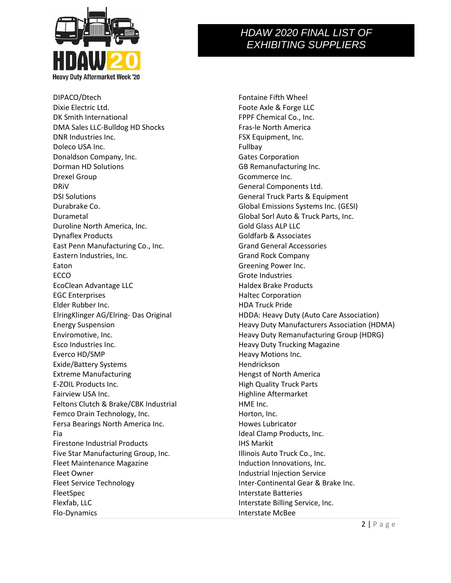

DIPACO/Dtech Dixie Electric Ltd. DK Smith International DMA Sales LLC-Bulldog HD Shocks DNR Industries Inc. Doleco USA Inc. Donaldson Company, Inc. Dorman HD Solutions Drexel Group DRiV DSI Solutions Durabrake Co. Durametal Duroline North America, Inc. Dynaflex Products East Penn Manufacturing Co., Inc. Eastern Industries, Inc. Eaton ECCO EcoClean Advantage LLC EGC Enterprises Elder Rubber Inc. ElringKlinger AG/Elring- Das Original Energy Suspension Enviromotive, Inc. Esco Industries Inc. Everco HD/SMP Exide/Battery Systems Extreme Manufacturing E-ZOIL Products Inc. Fairview USA Inc. Feltons Clutch & Brake/CBK Industrial Femco Drain Technology, Inc. Fersa Bearings North America Inc. Fia Firestone Industrial Products Five Star Manufacturing Group, Inc. Fleet Maintenance Magazine Fleet Owner Fleet Service Technology FleetSpec Flexfab, LLC Flo-Dynamics

Fontaine Fifth Wheel Foote Axle & Forge LLC FPPF Chemical Co., Inc. Fras-le North America FSX Equipment, Inc. Fullbay Gates Corporation GB Remanufacturing Inc. Gcommerce Inc. General Components Ltd. General Truck Parts & Equipment Global Emissions Systems Inc. (GESI) Global Sorl Auto & Truck Parts, Inc. Gold Glass ALP LLC Goldfarb & Associates Grand General Accessories Grand Rock Company Greening Power Inc. Grote Industries Haldex Brake Products Haltec Corporation HDA Truck Pride HDDA: Heavy Duty (Auto Care Association) Heavy Duty Manufacturers Association (HDMA) Heavy Duty Remanufacturing Group (HDRG) Heavy Duty Trucking Magazine Heavy Motions Inc. Hendrickson Hengst of North America High Quality Truck Parts Highline Aftermarket HME Inc. Horton, Inc. Howes Lubricator Ideal Clamp Products, Inc. IHS Markit Illinois Auto Truck Co., Inc. Induction Innovations, Inc. Industrial Injection Service Inter-Continental Gear & Brake Inc. Interstate Batteries Interstate Billing Service, Inc. Interstate McBee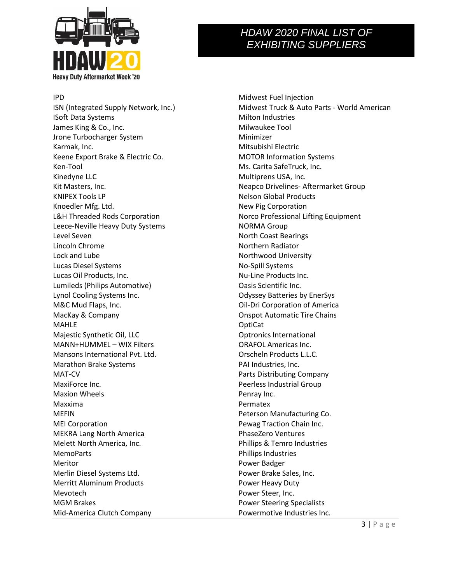

IPD

ISN (Integrated Supply Network, Inc.) ISoft Data Systems James King & Co., Inc. Jrone Turbocharger System Karmak, Inc. Keene Export Brake & Electric Co. Ken-Tool Kinedyne LLC Kit Masters, Inc. KNIPEX Tools LP Knoedler Mfg. Ltd. L&H Threaded Rods Corporation Leece-Neville Heavy Duty Systems Level Seven Lincoln Chrome Lock and Lube Lucas Diesel Systems Lucas Oil Products, Inc. Lumileds (Philips Automotive) Lynol Cooling Systems Inc. M&C Mud Flaps, Inc. MacKay & Company MAHLE Majestic Synthetic Oil, LLC MANN+HUMMEL – WIX Filters Mansons International Pvt. Ltd. Marathon Brake Systems MAT-CV MaxiForce Inc. Maxion Wheels Maxxima MEFIN MEI Corporation MEKRA Lang North America Melett North America, Inc. MemoParts Meritor Merlin Diesel Systems Ltd. Merritt Aluminum Products Mevotech MGM Brakes Mid-America Clutch Company

Midwest Fuel Injection Midwest Truck & Auto Parts - World American Milton Industries Milwaukee Tool Minimizer Mitsubishi Electric MOTOR Information Systems Ms. Carita SafeTruck, Inc. Multiprens USA, Inc. Neapco Drivelines- Aftermarket Group Nelson Global Products New Pig Corporation Norco Professional Lifting Equipment NORMA Group North Coast Bearings Northern Radiator Northwood University No-Spill Systems Nu-Line Products Inc. Oasis Scientific Inc. Odyssey Batteries by EnerSys Oil-Dri Corporation of America Onspot Automatic Tire Chains OptiCat Optronics International ORAFOL Americas Inc. Orscheln Products L.L.C. PAI Industries, Inc. Parts Distributing Company Peerless Industrial Group Penray Inc. Permatex Peterson Manufacturing Co. Pewag Traction Chain Inc. PhaseZero Ventures Phillips & Temro Industries Phillips Industries Power Badger Power Brake Sales, Inc. Power Heavy Duty Power Steer, Inc. Power Steering Specialists Powermotive Industries Inc.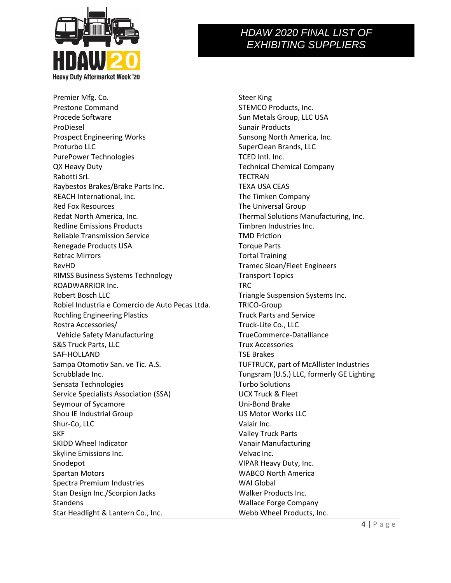

Premier Mfg. Co. Prestone Command Procede Software ProDiesel Prospect Engineering Works Proturbo LLC PurePower Technologies QX Heavy Duty Rabotti SrL Raybestos Brakes/Brake Parts Inc. REACH International, Inc. Red Fox Resources Redat North America, Inc. Redline Emissions Products Reliable Transmission Service Renegade Products USA Retrac Mirrors RevHD RIMSS Business Systems Technology ROADWARRIOR Inc. Robert Bosch LLC Robiel Industria e Comercio de Auto Pecas Ltda. Rochling Engineering Plastics Rostra Accessories/ Vehicle Safety Manufacturing S&S Truck Parts, LLC SAF-HOLLAND Sampa Otomotiv San. ve Tic. A.S. Scrubblade Inc. Sensata Technologies Service Specialists Association (SSA) Seymour of Sycamore Shou IE Industrial Group Shur-Co, LLC SKF SKIDD Wheel Indicator Skyline Emissions Inc. Snodepot Spartan Motors Spectra Premium Industries Stan Design Inc./Scorpion Jacks **Standens** Star Headlight & Lantern Co., Inc.

Steer King STEMCO Products, Inc. Sun Metals Group, LLC USA Sunair Products Sunsong North America, Inc. SuperClean Brands, LLC TCED Intl. Inc. Technical Chemical Company TECTRAN TEXA USA CEAS The Timken Company The Universal Group Thermal Solutions Manufacturing, Inc. Timbren Industries Inc. TMD Friction Torque Parts Tortal Training Tramec Sloan/Fleet Engineers Transport Topics TRC Triangle Suspension Systems Inc. TRICO-Group Truck Parts and Service Truck-Lite Co., LLC TrueCommerce-Datalliance Trux Accessories TSE Brakes TUFTRUCK, part of McAllister Industries Tungsram (U.S.) LLC, formerly GE Lighting Turbo Solutions UCX Truck & Fleet Uni-Bond Brake US Motor Works LLC Valair Inc. Valley Truck Parts Vanair Manufacturing Velvac Inc. VIPAR Heavy Duty, Inc. WABCO North America WAI Global Walker Products Inc. Wallace Forge Company Webb Wheel Products, Inc.